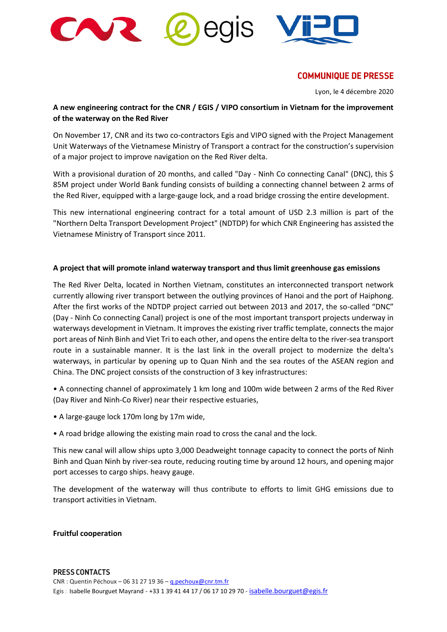



# **COMMUNIQUE DE PRESSE**

Lyon, le 4 décembre 2020

## **A new engineering contract for the CNR / EGIS / VIPO consortium in Vietnam for the improvement of the waterway on the Red River**

**JIS** 

On November 17, CNR and its two co-contractors Egis and VIPO signed with the Project Management Unit Waterways of the Vietnamese Ministry of Transport a contract for the construction's supervision of a major project to improve navigation on the Red River delta.

With a provisional duration of 20 months, and called "Day - Ninh Co connecting Canal" (DNC), this \$ 85M project under World Bank funding consists of building a connecting channel between 2 arms of the Red River, equipped with a large-gauge lock, and a road bridge crossing the entire development.

This new international engineering contract for a total amount of USD 2.3 million is part of the "Northern Delta Transport Development Project" (NDTDP) for which CNR Engineering has assisted the Vietnamese Ministry of Transport since 2011.

#### **A project that will promote inland waterway transport and thus limit greenhouse gas emissions**

The Red River Delta, located in Northen Vietnam, constitutes an interconnected transport network currently allowing river transport between the outlying provinces of Hanoi and the port of Haiphong. After the first works of the NDTDP project carried out between 2013 and 2017, the so-called "DNC" (Day - Ninh Co connecting Canal) project is one of the most important transport projects underway in waterways development in Vietnam. It improves the existing river traffic template, connects the major port areas of Ninh Binh and Viet Tri to each other, and opens the entire delta to the river-sea transport route in a sustainable manner. It is the last link in the overall project to modernize the delta's waterways, in particular by opening up to Quan Ninh and the sea routes of the ASEAN region and China. The DNC project consists of the construction of 3 key infrastructures:

• A connecting channel of approximately 1 km long and 100m wide between 2 arms of the Red River (Day River and Ninh-Co River) near their respective estuaries,

- A large-gauge lock 170m long by 17m wide,
- A road bridge allowing the existing main road to cross the canal and the lock.

This new canal will allow ships upto 3,000 Deadweight tonnage capacity to connect the ports of Ninh Binh and Quan Ninh by river-sea route, reducing routing time by around 12 hours, and opening major port accesses to cargo ships. heavy gauge.

The development of the waterway will thus contribute to efforts to limit GHG emissions due to transport activities in Vietnam.

#### **Fruitful cooperation**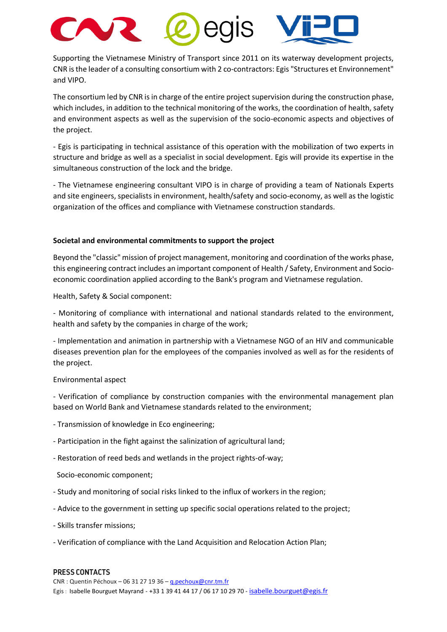

Supporting the Vietnamese Ministry of Transport since 2011 on its waterway development projects, CNR is the leader of a consulting consortium with 2 co-contractors: Egis "Structures et Environnement" and VIPO.

The consortium led by CNR is in charge of the entire project supervision during the construction phase, which includes, in addition to the technical monitoring of the works, the coordination of health, safety and environment aspects as well as the supervision of the socio-economic aspects and objectives of the project.

- Egis is participating in technical assistance of this operation with the mobilization of two experts in structure and bridge as well as a specialist in social development. Egis will provide its expertise in the simultaneous construction of the lock and the bridge.

- The Vietnamese engineering consultant VIPO is in charge of providing a team of Nationals Experts and site engineers, specialists in environment, health/safety and socio-economy, as well as the logistic organization of the offices and compliance with Vietnamese construction standards.

#### **Societal and environmental commitments to support the project**

Beyond the "classic" mission of project management, monitoring and coordination of the works phase, this engineering contract includes an important component of Health / Safety, Environment and Socioeconomic coordination applied according to the Bank's program and Vietnamese regulation.

Health, Safety & Social component:

- Monitoring of compliance with international and national standards related to the environment, health and safety by the companies in charge of the work;

- Implementation and animation in partnership with a Vietnamese NGO of an HIV and communicable diseases prevention plan for the employees of the companies involved as well as for the residents of the project.

#### Environmental aspect

- Verification of compliance by construction companies with the environmental management plan based on World Bank and Vietnamese standards related to the environment;

- Transmission of knowledge in Eco engineering;
- Participation in the fight against the salinization of agricultural land;
- Restoration of reed beds and wetlands in the project rights-of-way;
- Socio-economic component;
- Study and monitoring of social risks linked to the influx of workers in the region;
- Advice to the government in setting up specific social operations related to the project;
- Skills transfer missions;
- Verification of compliance with the Land Acquisition and Relocation Action Plan;

#### **PRESS CONTACTS**

 $CNR:$  Quentin Péchoux – 06 31 27 19 36 –  $q.$  pechoux@cnr.tm.fr Egis : Isabelle Bourguet Mayrand - +33 1 39 41 44 17 / 06 17 10 29 70 - [isabelle.bourguet@egis.fr](mailto:isabelle.bourguet@egis.fr)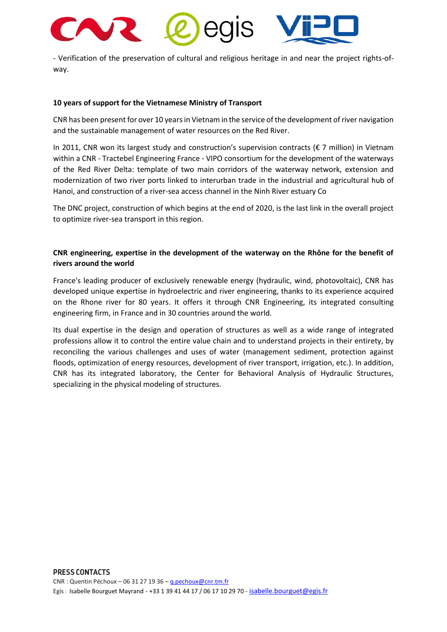

- Verification of the preservation of cultural and religious heritage in and near the project rights-ofway.

#### **10 years of support for the Vietnamese Ministry of Transport**

CNR has been present for over 10 years in Vietnam in the service of the development of river navigation and the sustainable management of water resources on the Red River.

In 2011, CNR won its largest study and construction's supervision contracts ( $\epsilon$  7 million) in Vietnam within a CNR - Tractebel Engineering France - VIPO consortium for the development of the waterways of the Red River Delta: template of two main corridors of the waterway network, extension and modernization of two river ports linked to interurban trade in the industrial and agricultural hub of Hanoi, and construction of a river-sea access channel in the Ninh River estuary Co

The DNC project, construction of which begins at the end of 2020, is the last link in the overall project to optimize river-sea transport in this region.

## **CNR engineering, expertise in the development of the waterway on the Rhône for the benefit of rivers around the world**

France's leading producer of exclusively renewable energy (hydraulic, wind, photovoltaic), CNR has developed unique expertise in hydroelectric and river engineering, thanks to its experience acquired on the Rhone river for 80 years. It offers it through CNR Engineering, its integrated consulting engineering firm, in France and in 30 countries around the world.

Its dual expertise in the design and operation of structures as well as a wide range of integrated professions allow it to control the entire value chain and to understand projects in their entirety, by reconciling the various challenges and uses of water (management sediment, protection against floods, optimization of energy resources, development of river transport, irrigation, etc.). In addition, CNR has its integrated laboratory, the Center for Behavioral Analysis of Hydraulic Structures, specializing in the physical modeling of structures.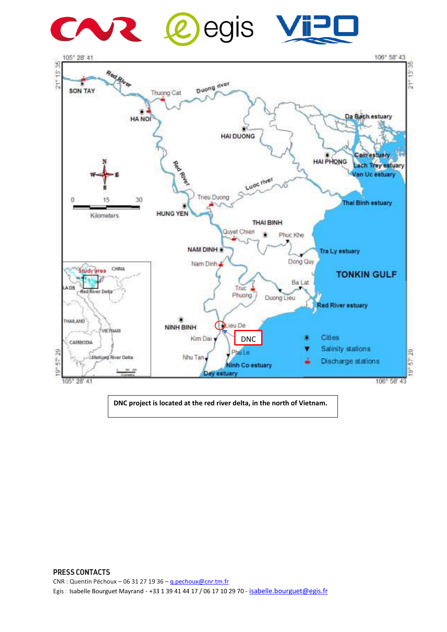

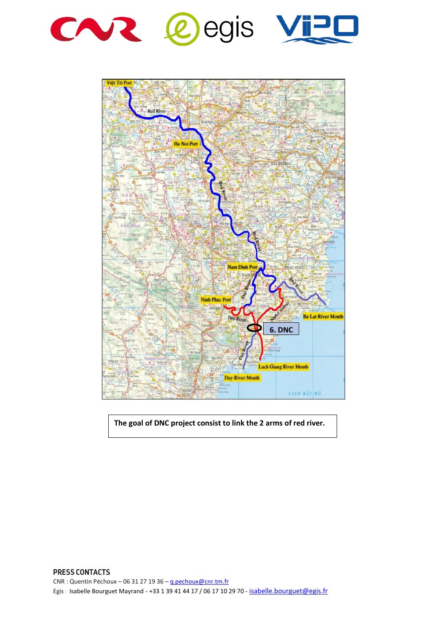



**The goal of DNC project consist to link the 2 arms of red river.**